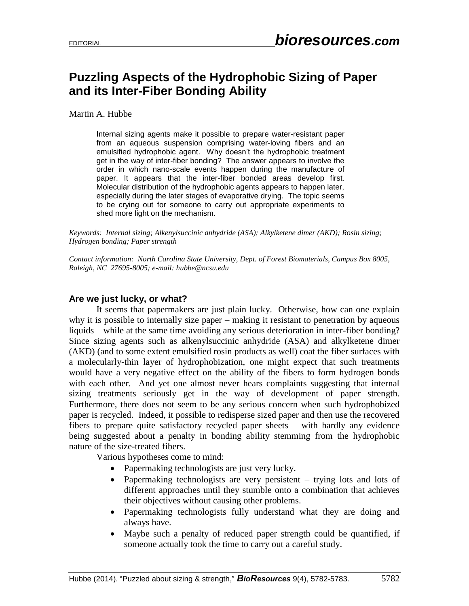## **Puzzling Aspects of the Hydrophobic Sizing of Paper and its Inter-Fiber Bonding Ability**

Martin A. Hubbe

Internal sizing agents make it possible to prepare water-resistant paper from an aqueous suspension comprising water-loving fibers and an emulsified hydrophobic agent. Why doesn't the hydrophobic treatment get in the way of inter-fiber bonding? The answer appears to involve the order in which nano-scale events happen during the manufacture of paper. It appears that the inter-fiber bonded areas develop first. Molecular distribution of the hydrophobic agents appears to happen later, especially during the later stages of evaporative drying. The topic seems to be crying out for someone to carry out appropriate experiments to shed more light on the mechanism.

*Keywords: Internal sizing; Alkenylsuccinic anhydride (ASA); Alkylketene dimer (AKD); Rosin sizing; Hydrogen bonding; Paper strength*

*Contact information: North Carolina State University, Dept. of Forest Biomaterials, Campus Box 8005, Raleigh, NC 27695-8005; e-mail: hubbe@ncsu.edu*

## **Are we just lucky, or what?**

It seems that papermakers are just plain lucky. Otherwise, how can one explain why it is possible to internally size paper – making it resistant to penetration by aqueous liquids – while at the same time avoiding any serious deterioration in inter-fiber bonding? Since sizing agents such as alkenylsuccinic anhydride (ASA) and alkylketene dimer (AKD) (and to some extent emulsified rosin products as well) coat the fiber surfaces with a molecularly-thin layer of hydrophobization, one might expect that such treatments would have a very negative effect on the ability of the fibers to form hydrogen bonds with each other. And yet one almost never hears complaints suggesting that internal sizing treatments seriously get in the way of development of paper strength. Furthermore, there does not seem to be any serious concern when such hydrophobized paper is recycled. Indeed, it possible to redisperse sized paper and then use the recovered fibers to prepare quite satisfactory recycled paper sheets – with hardly any evidence being suggested about a penalty in bonding ability stemming from the hydrophobic nature of the size-treated fibers.

Various hypotheses come to mind:

- Papermaking technologists are just very lucky.
- Papermaking technologists are very persistent trying lots and lots of different approaches until they stumble onto a combination that achieves their objectives without causing other problems.
- Papermaking technologists fully understand what they are doing and always have.
- Maybe such a penalty of reduced paper strength could be quantified, if someone actually took the time to carry out a careful study.